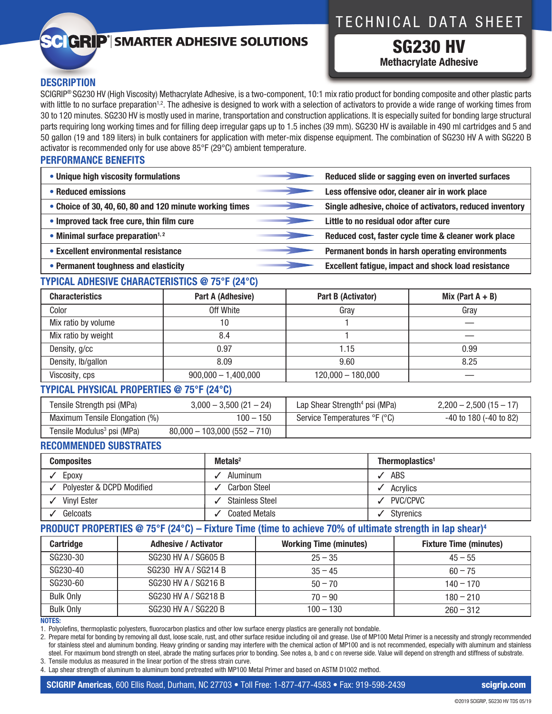## TECHNICAL DATA SHEET

# **C GRIP**<sup>®</sup> SMARTER ADHESIVE SOLUTIONS

SG230 HV **Methacrylate Adhesive**

### **DESCRIPTION**

SCIGRIP® SG230 HV (High Viscosity) Methacrylate Adhesive, is a two-component, 10:1 mix ratio product for bonding composite and other plastic parts with little to no surface preparation<sup>1,2</sup>. The adhesive is designed to work with a selection of activators to provide a wide range of working times from 30 to 120 minutes. SG230 HV is mostly used in marine, transportation and construction applications. It is especially suited for bonding large structural parts requiring long working times and for filling deep irregular gaps up to 1.5 inches (39 mm). SG230 HV is available in 490 ml cartridges and 5 and 50 gallon (19 and 189 liters) in bulk containers for application with meter-mix dispense equipment. The combination of SG230 HV A with SG220 B activator is recommended only for use above 85°F (29°C) ambient temperature.

#### **PERFORMANCE BENEFITS**

| • Unique high viscosity formulations                    |                   | Reduced slide or sagging even on inverted surfaces         |
|---------------------------------------------------------|-------------------|------------------------------------------------------------|
| • Reduced emissions                                     |                   | Less offensive odor, cleaner air in work place             |
| • Choice of 30, 40, 60, 80 and 120 minute working times |                   | Single adhesive, choice of activators, reduced inventory   |
| • Improved tack free cure, thin film cure               |                   | Little to no residual odor after cure                      |
| $\bullet$ Minimal surface preparation <sup>1,2</sup>    | <u>en provinc</u> | Reduced cost, faster cycle time & cleaner work place       |
| • Excellent environmental resistance                    |                   | Permanent bonds in harsh operating environments            |
| • Permanent toughness and elasticity                    |                   | <b>Excellent fatigue, impact and shock load resistance</b> |

### **TYPICAL ADHESIVE CHARACTERISTICS @ 75°F (24°C)**

| <b>Characteristics</b> | Part A (Adhesive)     | Part B (Activator)  | Mix (Part $A + B$ ) |
|------------------------|-----------------------|---------------------|---------------------|
| Color                  | Off White             | Gray                | Gray                |
| Mix ratio by volume    | 10                    |                     |                     |
| Mix ratio by weight    | 8.4                   |                     |                     |
| Density, g/cc          | 0.97                  | 1.15                | 0.99                |
| Density, Ib/gallon     | 8.09                  | 9.60                | 8.25                |
| Viscosity, cps         | $900,000 - 1,400,000$ | $120,000 - 180,000$ |                     |

#### **TYPICAL PHYSICAL PROPERTIES @ 75°F (24°C)**

| Tensile Strength psi (MPa)             | $3,000 - 3,500(21 - 24)$      | Lap Shear Strength <sup>4</sup> psi (MPa) | $2,200 - 2,500(15 - 17)$    |
|----------------------------------------|-------------------------------|-------------------------------------------|-----------------------------|
| Maximum Tensile Elongation (%)         | $100 - 150$                   | Service Temperatures °F (°C)              | $-40$ to 180 ( $-40$ to 82) |
| Tensile Modulus <sup>3</sup> psi (MPa) | $80,000 - 103,000(552 - 710)$ |                                           |                             |

#### **RECOMMENDED SUBSTRATES**

| <b>Composites</b>         | Metals $2$             | Thermoplastics <sup>1</sup> |
|---------------------------|------------------------|-----------------------------|
| Epoxy                     | Aluminum               | ABS                         |
| Polyester & DCPD Modified | <b>Carbon Steel</b>    | Acrylics                    |
| <b>Vinyl Ester</b>        | <b>Stainless Steel</b> | PVC/CPVC                    |
| Gelcoats                  | <b>Coated Metals</b>   | Styrenics                   |

### **PRODUCT PROPERTIES @ 75°F (24°C) – Fixture Time (time to achieve 70% of ultimate strength in lap shear)4**

| <b>Cartridge</b> | <b>Adhesive / Activator</b> | <b>Working Time (minutes)</b> | <b>Fixture Time (minutes)</b> |
|------------------|-----------------------------|-------------------------------|-------------------------------|
| SG230-30         | SG230 HV A / SG605 B        | $25 - 35$                     | $45 - 55$                     |
| SG230-40         | SG230 HV A / SG214 B        | $35 - 45$                     | $60 - 75$                     |
| SG230-60         | SG230 HV A / SG216 B        | $50 - 70$                     | $140 - 170$                   |
| <b>Bulk Only</b> | SG230 HV A / SG218 B        | $70 - 90$                     | $180 - 210$                   |
| <b>Bulk Only</b> | SG230 HV A / SG220 B        | $100 - 130$                   | $260 - 312$                   |

#### **NOTES:**

1. Polyolefins, thermoplastic polyesters, fluorocarbon plastics and other low surface energy plastics are generally not bondable.

2. Prepare metal for bonding by removing all dust, loose scale, rust, and other surface residue including oil and grease. Use of MP100 Metal Primer is a necessity and strongly recommended for stainless steel and aluminum bonding. Heavy grinding or sanding may interfere with the chemical action of MP100 and is not recommended, especially with aluminum and stainless steel. For maximum bond strength on steel, abrade the mating surfaces prior to bonding. See notes a, b and c on reverse side. Value will depend on strength and stiffness of substrate.

3. Tensile modulus as measured in the linear portion of the stress strain curve.

4. Lap shear strength of aluminum to aluminum bond pretreated with MP100 Metal Primer and based on ASTM D1002 method.

**SCIGRIP Americas**, 600 Ellis Road, Durham, NC 27703 • Toll Free: 1-877-477-4583 • Fax: 919-598-2439 scigrip.com